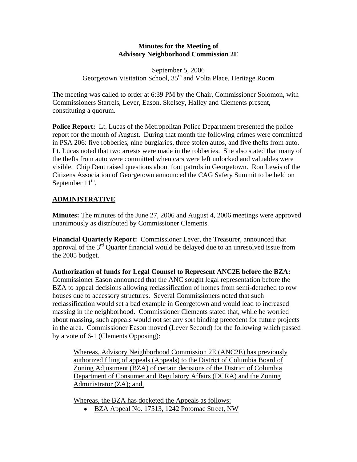### **Minutes for the Meeting of Advisory Neighborhood Commission 2E**

September 5, 2006 Georgetown Visitation School, 35<sup>th</sup> and Volta Place, Heritage Room

The meeting was called to order at 6:39 PM by the Chair, Commissioner Solomon, with Commissioners Starrels, Lever, Eason, Skelsey, Halley and Clements present, constituting a quorum.

**Police Report:** Lt. Lucas of the Metropolitan Police Department presented the police report for the month of August. During that month the following crimes were committed in PSA 206: five robberies, nine burglaries, three stolen autos, and five thefts from auto. Lt. Lucas noted that two arrests were made in the robberies. She also stated that many of the thefts from auto were committed when cars were left unlocked and valuables were visible. Chip Dent raised questions about foot patrols in Georgetown. Ron Lewis of the Citizens Association of Georgetown announced the CAG Safety Summit to be held on September  $11^{th}$ .

## **ADMINISTRATIVE**

**Minutes:** The minutes of the June 27, 2006 and August 4, 2006 meetings were approved unanimously as distributed by Commissioner Clements.

**Financial Quarterly Report:** Commissioner Lever, the Treasurer, announced that approval of the  $3<sup>rd</sup>$  Quarter financial would be delayed due to an unresolved issue from the 2005 budget.

**Authorization of funds for Legal Counsel to Represent ANC2E before the BZA:**  Commissioner Eason announced that the ANC sought legal representation before the BZA to appeal decisions allowing reclassification of homes from semi-detached to row houses due to accessory structures. Several Commissioners noted that such reclassification would set a bad example in Georgetown and would lead to increased massing in the neighborhood. Commissioner Clements stated that, while he worried about massing, such appeals would not set any sort binding precedent for future projects in the area. Commissioner Eason moved (Lever Second) for the following which passed by a vote of 6-1 (Clements Opposing):

Whereas, Advisory Neighborhood Commission 2E (ANC2E) has previously authorized filing of appeals (Appeals) to the District of Columbia Board of Zoning Adjustment (BZA) of certain decisions of the District of Columbia Department of Consumer and Regulatory Affairs (DCRA) and the Zoning Administrator (ZA); and,

Whereas, the BZA has docketed the Appeals as follows:

• BZA Appeal No. 17513, 1242 Potomac Street, NW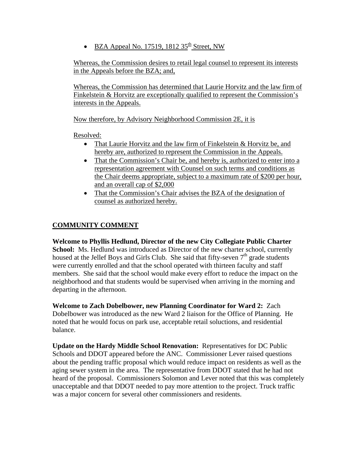• BZA Appeal No. 17519, 1812  $35<sup>th</sup>$  Street, NW

Whereas, the Commission desires to retail legal counsel to represent its interests in the Appeals before the BZA; and,

Whereas, the Commission has determined that Laurie Horvitz and the law firm of Finkelstein & Horvitz are exceptionally qualified to represent the Commission's interests in the Appeals.

Now therefore, by Advisory Neighborhood Commission 2E, it is

Resolved:

- That Laurie Horvitz and the law firm of Finkelstein & Horvitz be, and hereby are, authorized to represent the Commission in the Appeals.
- That the Commission's Chair be, and hereby is, authorized to enter into a representation agreement with Counsel on such terms and conditions as the Chair deems appropriate, subject to a maximum rate of \$200 per hour, and an overall cap of \$2,000
- That the Commission's Chair advises the BZA of the designation of counsel as authorized hereby.

# **COMMUNITY COMMENT**

**Welcome to Phyllis Hedlund, Director of the new City Collegiate Public Charter School:** Ms. Hedlund was introduced as Director of the new charter school, currently housed at the Jellef Boys and Girls Club. She said that fifty-seven  $7<sup>th</sup>$  grade students were currently enrolled and that the school operated with thirteen faculty and staff members. She said that the school would make every effort to reduce the impact on the neighborhood and that students would be supervised when arriving in the morning and departing in the afternoon.

**Welcome to Zach Dobelbower, new Planning Coordinator for Ward 2:** Zach Dobelbower was introduced as the new Ward 2 liaison for the Office of Planning. He noted that he would focus on park use, acceptable retail soluctions, and residential balance.

**Update on the Hardy Middle School Renovation:** Representatives for DC Public Schools and DDOT appeared before the ANC. Commissioner Lever raised questions about the pending traffic proposal which would reduce impact on residents as well as the aging sewer system in the area. The representative from DDOT stated that he had not heard of the proposal. Commissioners Solomon and Lever noted that this was completely unacceptable and that DDOT needed to pay more attention to the project. Truck traffic was a major concern for several other commissioners and residents.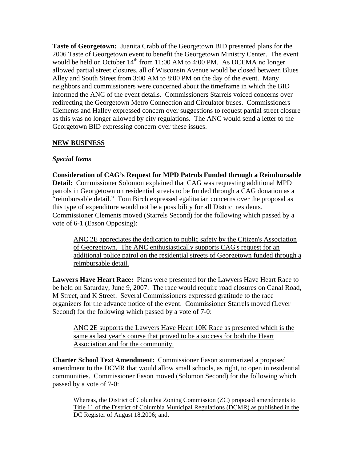**Taste of Georgetown:** Juanita Crabb of the Georgetown BID presented plans for the 2006 Taste of Georgetown event to benefit the Georgetown Ministry Center. The event would be held on October  $14^{th}$  from 11:00 AM to 4:00 PM. As DCEMA no longer allowed partial street closures, all of Wisconsin Avenue would be closed between Blues Alley and South Street from 3:00 AM to 8:00 PM on the day of the event. Many neighbors and commissioners were concerned about the timeframe in which the BID informed the ANC of the event details. Commissioners Starrels voiced concerns over redirecting the Georgetown Metro Connection and Circulator buses. Commissioners Clements and Halley expressed concern over suggestions to request partial street closure as this was no longer allowed by city regulations. The ANC would send a letter to the Georgetown BID expressing concern over these issues.

### **NEW BUSINESS**

### *Special Items*

**Consideration of CAG's Request for MPD Patrols Funded through a Reimbursable Detail:** Commissioner Solomon explained that CAG was requesting additional MPD patrols in Georgetown on residential streets to be funded through a CAG donation as a "reimbursable detail." Tom Birch expressed egalitarian concerns over the proposal as this type of expenditure would not be a possibility for all District residents. Commissioner Clements moved (Starrels Second) for the following which passed by a vote of 6-1 (Eason Opposing):

ANC 2E appreciates the dedication to public safety by the Citizen's Association of Georgetown. The ANC enthusiastically supports CAG's request for an additional police patrol on the residential streets of Georgetown funded through a reimbursable detail.

**Lawyers Have Heart Race:** Plans were presented for the Lawyers Have Heart Race to be held on Saturday, June 9, 2007. The race would require road closures on Canal Road, M Street, and K Street. Several Commissioners expressed gratitude to the race organizers for the advance notice of the event. Commissioner Starrels moved (Lever Second) for the following which passed by a vote of 7-0:

ANC 2E supports the Lawyers Have Heart 10K Race as presented which is the same as last year's course that proved to be a success for both the Heart Association and for the community.

**Charter School Text Amendment:** Commissioner Eason summarized a proposed amendment to the DCMR that would allow small schools, as right, to open in residential communities. Commissioner Eason moved (Solomon Second) for the following which passed by a vote of 7-0:

Whereas, the District of Columbia Zoning Commission (ZC) proposed amendments to Title 11 of the District of Columbia Municipal Regulations (DCMR) as published in the DC Register of August 18,2006; and,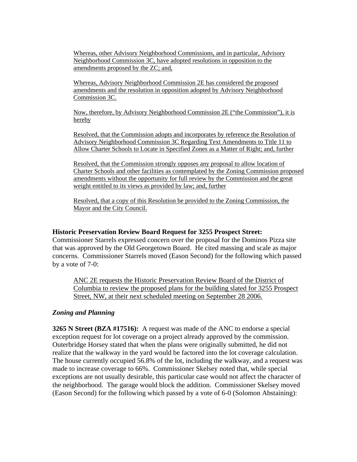Whereas, other Advisory Neighborhood Commissions, and in particular, Advisory Neighborhood Commission 3C, have adopted resolutions in opposition to the amendments proposed by the ZC; and,

Whereas, Advisory Neighborhood Commission 2E has considered the proposed amendments and the resolution in opposition adopted by Advisory Neighborhood Commission 3C.

Now, therefore, by Advisory Neighborhood Commission 2E ("the Commission"), it is hereby

Resolved, that the Commission adopts and incorporates by reference the Resolution of Advisory Neighborhood Commission 3C Regarding Text Amendments to Title 11 to Allow Charter Schools to Locate in Specified Zones as a Matter of Right; and, further

Resolved, that the Commission strongly opposes any proposal to allow location of Charter Schools and other facilities as contemplated by the Zoning Commission proposed amendments without the opportunity for full review by the Commission and the great weight entitled to its views as provided by law; and, further

Resolved, that a copy of this Resolution be provided to the Zoning Commission, the Mayor and the City Council.

#### **Historic Preservation Review Board Request for 3255 Prospect Street:**

Commissioner Starrels expressed concern over the proposal for the Dominos Pizza site that was approved by the Old Georgetown Board. He cited massing and scale as major concerns. Commissioner Starrels moved (Eason Second) for the following which passed by a vote of 7-0:

ANC 2E requests the Historic Preservation Review Board of the District of Columbia to review the proposed plans for the building slated for 3255 Prospect Street, NW, at their next scheduled meeting on September 28 2006.

#### *Zoning and Planning*

**3265 N Street (BZA #17516):** A request was made of the ANC to endorse a special exception request for lot coverage on a project already approved by the commission. Outerbridge Horsey stated that when the plans were originally submitted, he did not realize that the walkway in the yard would be factored into the lot coverage calculation. The house currently occupied 56.8% of the lot, including the walkway, and a request was made to increase coverage to 66%. Commissioner Skelsey noted that, while special exceptions are not usually desirable, this particular case would not affect the character of the neighborhood. The garage would block the addition. Commissioner Skelsey moved (Eason Second) for the following which passed by a vote of 6-0 (Solomon Abstaining):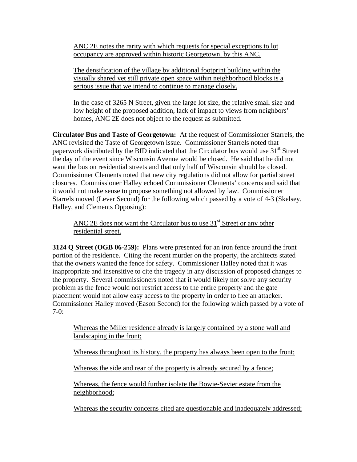ANC 2E notes the rarity with which requests for special exceptions to lot occupancy are approved within historic Georgetown, by this ANC.

The densification of the village by additional footprint building within the visually shared yet still private open space within neighborhood blocks is a serious issue that we intend to continue to manage closely.

In the case of 3265 N Street, given the large lot size, the relative small size and low height of the proposed addition, lack of impact to views from neighbors' homes, ANC 2E does not object to the request as submitted.

**Circulator Bus and Taste of Georgetown:** At the request of Commissioner Starrels, the ANC revisited the Taste of Georgetown issue. Commissioner Starrels noted that paperwork distributed by the BID indicated that the Circulator bus would use  $31<sup>st</sup>$  Street the day of the event since Wisconsin Avenue would be closed. He said that he did not want the bus on residential streets and that only half of Wisconsin should be closed. Commissioner Clements noted that new city regulations did not allow for partial street closures. Commissioner Halley echoed Commissioner Clements' concerns and said that it would not make sense to propose something not allowed by law. Commissioner Starrels moved (Lever Second) for the following which passed by a vote of 4-3 (Skelsey, Halley, and Clements Opposing):

ANC 2E does not want the Circulator bus to use  $31<sup>st</sup>$  Street or any other residential street.

**3124 Q Street (OGB 06-259):** Plans were presented for an iron fence around the front portion of the residence. Citing the recent murder on the property, the architects stated that the owners wanted the fence for safety. Commissioner Halley noted that it was inappropriate and insensitive to cite the tragedy in any discussion of proposed changes to the property. Several commissioners noted that it would likely not solve any security problem as the fence would not restrict access to the entire property and the gate placement would not allow easy access to the property in order to flee an attacker. Commissioner Halley moved (Eason Second) for the following which passed by a vote of  $7-0:$ 

Whereas the Miller residence already is largely contained by a stone wall and landscaping in the front;

Whereas throughout its history, the property has always been open to the front;

Whereas the side and rear of the property is already secured by a fence;

Whereas, the fence would further isolate the Bowie-Sevier estate from the neighborhood;

Whereas the security concerns cited are questionable and inadequately addressed;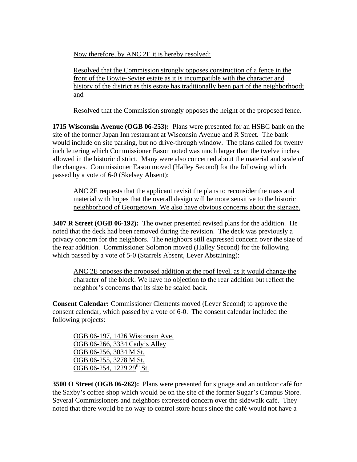Now therefore, by ANC 2E it is hereby resolved:

Resolved that the Commission strongly opposes construction of a fence in the front of the Bowie-Sevier estate as it is incompatible with the character and history of the district as this estate has traditionally been part of the neighborhood; and

Resolved that the Commission strongly opposes the height of the proposed fence.

**1715 Wisconsin Avenue (OGB 06-253):** Plans were presented for an HSBC bank on the site of the former Japan Inn restaurant at Wisconsin Avenue and R Street. The bank would include on site parking, but no drive-through window. The plans called for twenty inch lettering which Commissioner Eason noted was much larger than the twelve inches allowed in the historic district. Many were also concerned about the material and scale of the changes. Commissioner Eason moved (Halley Second) for the following which passed by a vote of 6-0 (Skelsey Absent):

ANC 2E requests that the applicant revisit the plans to reconsider the mass and material with hopes that the overall design will be more sensitive to the historic neighborhood of Georgetown. We also have obvious concerns about the signage.

**3407 R Street (OGB 06-192):** The owner presented revised plans for the addition. He noted that the deck had been removed during the revision. The deck was previously a privacy concern for the neighbors. The neighbors still expressed concern over the size of the rear addition. Commissioner Solomon moved (Halley Second) for the following which passed by a vote of 5-0 (Starrels Absent, Lever Abstaining):

ANC 2E opposes the proposed addition at the roof level, as it would change the character of the block. We have no objection to the rear addition but reflect the neighbor's concerns that its size be scaled back.

**Consent Calendar:** Commissioner Clements moved (Lever Second) to approve the consent calendar, which passed by a vote of 6-0. The consent calendar included the following projects:

OGB 06-197, 1426 Wisconsin Ave. OGB 06-266, 3334 Cady's Alley OGB 06-256, 3034 M St. OGB 06-255, 3278 M St. OGB 06-254, 1229 29<sup>th</sup> St.

**3500 O Street (OGB 06-262):** Plans were presented for signage and an outdoor café for the Saxby's coffee shop which would be on the site of the former Sugar's Campus Store. Several Commissioners and neighbors expressed concern over the sidewalk café. They noted that there would be no way to control store hours since the café would not have a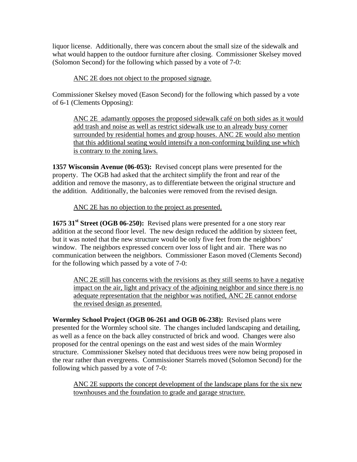liquor license. Additionally, there was concern about the small size of the sidewalk and what would happen to the outdoor furniture after closing. Commissioner Skelsey moved (Solomon Second) for the following which passed by a vote of 7-0:

## ANC 2E does not object to the proposed signage.

Commissioner Skelsey moved (Eason Second) for the following which passed by a vote of 6-1 (Clements Opposing):

ANC 2E adamantly opposes the proposed sidewalk café on both sides as it would add trash and noise as well as restrict sidewalk use to an already busy corner surrounded by residential homes and group houses. ANC 2E would also mention that this additional seating would intensify a non-conforming building use which is contrary to the zoning laws.

**1357 Wisconsin Avenue (06-053):** Revised concept plans were presented for the property. The OGB had asked that the architect simplify the front and rear of the addition and remove the masonry, as to differentiate between the original structure and the addition. Additionally, the balconies were removed from the revised design.

### ANC 2E has no objection to the project as presented.

**1675 31st Street (OGB 06-250):** Revised plans were presented for a one story rear addition at the second floor level. The new design reduced the addition by sixteen feet, but it was noted that the new structure would be only five feet from the neighbors' window. The neighbors expressed concern over loss of light and air. There was no communication between the neighbors. Commissioner Eason moved (Clements Second) for the following which passed by a vote of 7-0:

ANC 2E still has concerns with the revisions as they still seems to have a negative impact on the air, light and privacy of the adjoining neighbor and since there is no adequate representation that the neighbor was notified, ANC 2E cannot endorse the revised design as presented.

**Wormley School Project (OGB 06-261 and OGB 06-238):** Revised plans were presented for the Wormley school site. The changes included landscaping and detailing, as well as a fence on the back alley constructed of brick and wood. Changes were also proposed for the central openings on the east and west sides of the main Wormley structure. Commissioner Skelsey noted that deciduous trees were now being proposed in the rear rather than evergreens. Commissioner Starrels moved (Solomon Second) for the following which passed by a vote of 7-0:

ANC 2E supports the concept development of the landscape plans for the six new townhouses and the foundation to grade and garage structure.